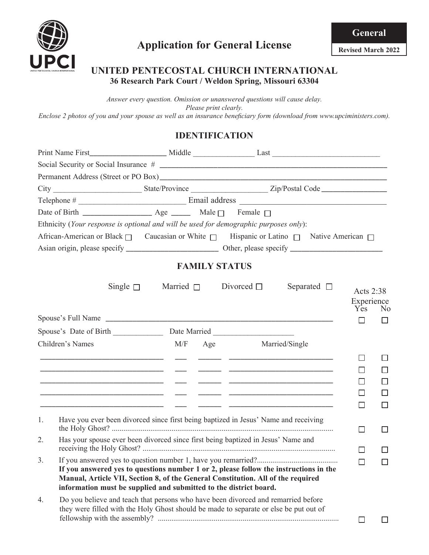

**Revised March 2022**

### **UNITED PENTECOSTAL CHURCH INTERNATIONAL 36 Research Park Court / Weldon Spring, Missouri 63304**

*Answer every question. Omission or unanswered questions will cause delay. Please print clearly. Enclose 2 photos of you and your spouse as well as an insurance beneficiary form (download from www.upciministers.com).*

# **IDENTIFICATION**

|    | Ethnicity (Your response is optional and will be used for demographic purposes only):                                                                                                                                                          |                                |                                                 |                                |                |
|----|------------------------------------------------------------------------------------------------------------------------------------------------------------------------------------------------------------------------------------------------|--------------------------------|-------------------------------------------------|--------------------------------|----------------|
|    | African-American or Black □ Caucasian or White □ Hispanic or Latino □ Native American □                                                                                                                                                        |                                |                                                 |                                |                |
|    |                                                                                                                                                                                                                                                |                                |                                                 |                                |                |
|    |                                                                                                                                                                                                                                                | <b>FAMILY STATUS</b>           |                                                 |                                |                |
|    | Single $\Box$                                                                                                                                                                                                                                  | Married $\Box$ Divorced $\Box$ | Separated $\Box$                                | Acts 2:38<br>Experience<br>Yes | N <sub>0</sub> |
|    |                                                                                                                                                                                                                                                |                                |                                                 | $\Box$                         |                |
|    |                                                                                                                                                                                                                                                |                                |                                                 |                                |                |
|    | Children's Names                                                                                                                                                                                                                               | M/F Age Married/Single         |                                                 |                                |                |
|    | <u> 1990 - Jacques Alexandro III, poeta establecido en la contradición de la contradición de la contradición de l</u><br><u> 1989 - Johann Harry Harry Harry Harry Harry Harry Harry Harry Harry Harry Harry Harry Harry Harry Harry Harry</u> |                                | <u> 2001 - Johann Stein, mars et al. (2001)</u> | ΙI<br>$\mathsf{L}$             | H              |
| 1. | Have you ever been divorced since first being baptized in Jesus' Name and receiving                                                                                                                                                            |                                |                                                 | □                              | U              |
| 2. | Has your spouse ever been divorced since first being baptized in Jesus' Name and                                                                                                                                                               |                                |                                                 | П                              |                |
| 3. | If you answered yes to questions number 1 or 2, please follow the instructions in the<br>Manual, Article VII, Section 8, of the General Constitution. All of the required<br>information must be supplied and submitted to the district board. |                                |                                                 | $\Box$                         |                |
| 4. | Do you believe and teach that persons who have been divorced and remarried before<br>they were filled with the Holy Ghost should be made to separate or else be put out of                                                                     |                                |                                                 | □                              |                |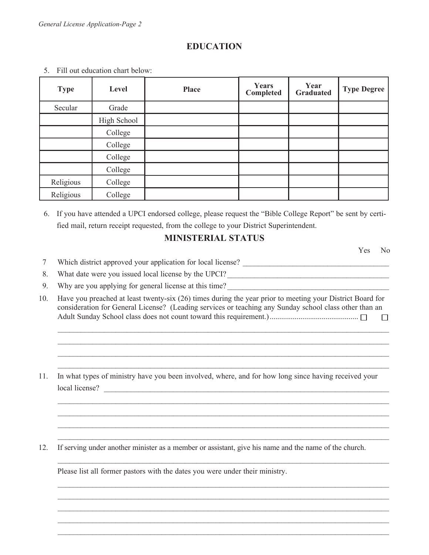### **EDUCATION**

| <b>Type</b> | Level       | <b>Place</b> | <b>Years</b><br>Completed | Year<br><b>Graduated</b> | <b>Type Degree</b> |
|-------------|-------------|--------------|---------------------------|--------------------------|--------------------|
| Secular     | Grade       |              |                           |                          |                    |
|             | High School |              |                           |                          |                    |
|             | College     |              |                           |                          |                    |
|             | College     |              |                           |                          |                    |
|             | College     |              |                           |                          |                    |
|             | College     |              |                           |                          |                    |
| Religious   | College     |              |                           |                          |                    |
| Religious   | College     |              |                           |                          |                    |

5. Fill out education chart below:

6. If you have attended a UPCI endorsed college, please request the "Bible College Report" be sent by certified mail, return receipt requested, from the college to your District Superintendent.

### **MINISTERIAL STATUS**

Yes No 7 Which district approved your application for local license? \_\_\_\_\_\_\_\_\_\_\_\_\_\_\_\_\_\_\_\_\_\_\_\_\_\_\_\_\_\_\_\_\_\_\_\_\_\_ 8. What date were you issued local license by the UPCI? 9. Why are you applying for general license at this time? 10. Have you preached at least twenty-six (26) times during the year prior to meeting your District Board for consideration for General License? (Leading services or teaching any Sunday school class other than an Adult Sunday School class does not count toward this requirement.)..............................................  $\overline{\phantom{a}}$  $\mathcal{L}_\text{max} = \frac{1}{2} \sum_{i=1}^{n} \frac{1}{2} \sum_{i=1}^{n} \frac{1}{2} \sum_{i=1}^{n} \frac{1}{2} \sum_{i=1}^{n} \frac{1}{2} \sum_{i=1}^{n} \frac{1}{2} \sum_{i=1}^{n} \frac{1}{2} \sum_{i=1}^{n} \frac{1}{2} \sum_{i=1}^{n} \frac{1}{2} \sum_{i=1}^{n} \frac{1}{2} \sum_{i=1}^{n} \frac{1}{2} \sum_{i=1}^{n} \frac{1}{2} \sum_{i=1}^{n} \frac{1$  $\mathcal{L}_\text{max} = \frac{1}{2} \sum_{i=1}^{n} \frac{1}{2} \sum_{i=1}^{n} \frac{1}{2} \sum_{i=1}^{n} \frac{1}{2} \sum_{i=1}^{n} \frac{1}{2} \sum_{i=1}^{n} \frac{1}{2} \sum_{i=1}^{n} \frac{1}{2} \sum_{i=1}^{n} \frac{1}{2} \sum_{i=1}^{n} \frac{1}{2} \sum_{i=1}^{n} \frac{1}{2} \sum_{i=1}^{n} \frac{1}{2} \sum_{i=1}^{n} \frac{1}{2} \sum_{i=1}^{n} \frac{1$  $\mathcal{L}_\mathcal{L} = \mathcal{L}_\mathcal{L} = \mathcal{L}_\mathcal{L} = \mathcal{L}_\mathcal{L} = \mathcal{L}_\mathcal{L} = \mathcal{L}_\mathcal{L} = \mathcal{L}_\mathcal{L} = \mathcal{L}_\mathcal{L} = \mathcal{L}_\mathcal{L} = \mathcal{L}_\mathcal{L} = \mathcal{L}_\mathcal{L} = \mathcal{L}_\mathcal{L} = \mathcal{L}_\mathcal{L} = \mathcal{L}_\mathcal{L} = \mathcal{L}_\mathcal{L} = \mathcal{L}_\mathcal{L} = \mathcal{L}_\mathcal{L}$  $\mathcal{L}_\text{max} = \frac{1}{2} \sum_{i=1}^{n} \frac{1}{2} \sum_{i=1}^{n} \frac{1}{2} \sum_{i=1}^{n} \frac{1}{2} \sum_{i=1}^{n} \frac{1}{2} \sum_{i=1}^{n} \frac{1}{2} \sum_{i=1}^{n} \frac{1}{2} \sum_{i=1}^{n} \frac{1}{2} \sum_{i=1}^{n} \frac{1}{2} \sum_{i=1}^{n} \frac{1}{2} \sum_{i=1}^{n} \frac{1}{2} \sum_{i=1}^{n} \frac{1}{2} \sum_{i=1}^{n} \frac{1$ 11. In what types of ministry have you been involved, where, and for how long since having received your local license?  $\mathcal{L}_\text{max} = \frac{1}{2} \sum_{i=1}^{n} \frac{1}{2} \sum_{i=1}^{n} \frac{1}{2} \sum_{i=1}^{n} \frac{1}{2} \sum_{i=1}^{n} \frac{1}{2} \sum_{i=1}^{n} \frac{1}{2} \sum_{i=1}^{n} \frac{1}{2} \sum_{i=1}^{n} \frac{1}{2} \sum_{i=1}^{n} \frac{1}{2} \sum_{i=1}^{n} \frac{1}{2} \sum_{i=1}^{n} \frac{1}{2} \sum_{i=1}^{n} \frac{1}{2} \sum_{i=1}^{n} \frac{1$  $\mathcal{L}_\text{max} = \frac{1}{2} \sum_{i=1}^{n} \frac{1}{2} \sum_{i=1}^{n} \frac{1}{2} \sum_{i=1}^{n} \frac{1}{2} \sum_{i=1}^{n} \frac{1}{2} \sum_{i=1}^{n} \frac{1}{2} \sum_{i=1}^{n} \frac{1}{2} \sum_{i=1}^{n} \frac{1}{2} \sum_{i=1}^{n} \frac{1}{2} \sum_{i=1}^{n} \frac{1}{2} \sum_{i=1}^{n} \frac{1}{2} \sum_{i=1}^{n} \frac{1}{2} \sum_{i=1}^{n} \frac{1$  $\mathcal{L}_\mathcal{L} = \mathcal{L}_\mathcal{L} = \mathcal{L}_\mathcal{L} = \mathcal{L}_\mathcal{L} = \mathcal{L}_\mathcal{L} = \mathcal{L}_\mathcal{L} = \mathcal{L}_\mathcal{L} = \mathcal{L}_\mathcal{L} = \mathcal{L}_\mathcal{L} = \mathcal{L}_\mathcal{L} = \mathcal{L}_\mathcal{L} = \mathcal{L}_\mathcal{L} = \mathcal{L}_\mathcal{L} = \mathcal{L}_\mathcal{L} = \mathcal{L}_\mathcal{L} = \mathcal{L}_\mathcal{L} = \mathcal{L}_\mathcal{L}$  $\mathcal{L}_\text{max} = \frac{1}{2} \sum_{i=1}^{n} \frac{1}{2} \sum_{i=1}^{n} \frac{1}{2} \sum_{i=1}^{n} \frac{1}{2} \sum_{i=1}^{n} \frac{1}{2} \sum_{i=1}^{n} \frac{1}{2} \sum_{i=1}^{n} \frac{1}{2} \sum_{i=1}^{n} \frac{1}{2} \sum_{i=1}^{n} \frac{1}{2} \sum_{i=1}^{n} \frac{1}{2} \sum_{i=1}^{n} \frac{1}{2} \sum_{i=1}^{n} \frac{1}{2} \sum_{i=1}^{n} \frac{1$ 

12. If serving under another minister as a member or assistant, give his name and the name of the church.

 $\mathcal{L}_\mathcal{L} = \mathcal{L}_\mathcal{L} = \mathcal{L}_\mathcal{L} = \mathcal{L}_\mathcal{L} = \mathcal{L}_\mathcal{L} = \mathcal{L}_\mathcal{L} = \mathcal{L}_\mathcal{L} = \mathcal{L}_\mathcal{L} = \mathcal{L}_\mathcal{L} = \mathcal{L}_\mathcal{L} = \mathcal{L}_\mathcal{L} = \mathcal{L}_\mathcal{L} = \mathcal{L}_\mathcal{L} = \mathcal{L}_\mathcal{L} = \mathcal{L}_\mathcal{L} = \mathcal{L}_\mathcal{L} = \mathcal{L}_\mathcal{L}$ 

 $\mathcal{L}_\text{max} = \frac{1}{2} \sum_{i=1}^{n} \frac{1}{2} \sum_{i=1}^{n} \frac{1}{2} \sum_{i=1}^{n} \frac{1}{2} \sum_{i=1}^{n} \frac{1}{2} \sum_{i=1}^{n} \frac{1}{2} \sum_{i=1}^{n} \frac{1}{2} \sum_{i=1}^{n} \frac{1}{2} \sum_{i=1}^{n} \frac{1}{2} \sum_{i=1}^{n} \frac{1}{2} \sum_{i=1}^{n} \frac{1}{2} \sum_{i=1}^{n} \frac{1}{2} \sum_{i=1}^{n} \frac{1$  $\mathcal{L}_\mathcal{L} = \mathcal{L}_\mathcal{L} = \mathcal{L}_\mathcal{L} = \mathcal{L}_\mathcal{L} = \mathcal{L}_\mathcal{L} = \mathcal{L}_\mathcal{L} = \mathcal{L}_\mathcal{L} = \mathcal{L}_\mathcal{L} = \mathcal{L}_\mathcal{L} = \mathcal{L}_\mathcal{L} = \mathcal{L}_\mathcal{L} = \mathcal{L}_\mathcal{L} = \mathcal{L}_\mathcal{L} = \mathcal{L}_\mathcal{L} = \mathcal{L}_\mathcal{L} = \mathcal{L}_\mathcal{L} = \mathcal{L}_\mathcal{L}$  $\mathcal{L}_\text{max} = \frac{1}{2} \sum_{i=1}^{n} \frac{1}{2} \sum_{i=1}^{n} \frac{1}{2} \sum_{i=1}^{n} \frac{1}{2} \sum_{i=1}^{n} \frac{1}{2} \sum_{i=1}^{n} \frac{1}{2} \sum_{i=1}^{n} \frac{1}{2} \sum_{i=1}^{n} \frac{1}{2} \sum_{i=1}^{n} \frac{1}{2} \sum_{i=1}^{n} \frac{1}{2} \sum_{i=1}^{n} \frac{1}{2} \sum_{i=1}^{n} \frac{1}{2} \sum_{i=1}^{n} \frac{1$  $\mathcal{L}_\text{max} = \frac{1}{2} \sum_{i=1}^{n} \frac{1}{2} \sum_{i=1}^{n} \frac{1}{2} \sum_{i=1}^{n} \frac{1}{2} \sum_{i=1}^{n} \frac{1}{2} \sum_{i=1}^{n} \frac{1}{2} \sum_{i=1}^{n} \frac{1}{2} \sum_{i=1}^{n} \frac{1}{2} \sum_{i=1}^{n} \frac{1}{2} \sum_{i=1}^{n} \frac{1}{2} \sum_{i=1}^{n} \frac{1}{2} \sum_{i=1}^{n} \frac{1}{2} \sum_{i=1}^{n} \frac{1$  $\mathcal{L}_\mathcal{L} = \mathcal{L}_\mathcal{L} = \mathcal{L}_\mathcal{L} = \mathcal{L}_\mathcal{L} = \mathcal{L}_\mathcal{L} = \mathcal{L}_\mathcal{L} = \mathcal{L}_\mathcal{L} = \mathcal{L}_\mathcal{L} = \mathcal{L}_\mathcal{L} = \mathcal{L}_\mathcal{L} = \mathcal{L}_\mathcal{L} = \mathcal{L}_\mathcal{L} = \mathcal{L}_\mathcal{L} = \mathcal{L}_\mathcal{L} = \mathcal{L}_\mathcal{L} = \mathcal{L}_\mathcal{L} = \mathcal{L}_\mathcal{L}$ 

Please list all former pastors with the dates you were under their ministry.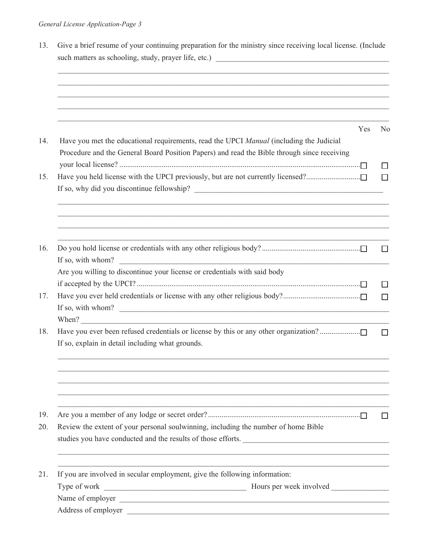|                                                                                                                                                                                        | Yes |    |  |
|----------------------------------------------------------------------------------------------------------------------------------------------------------------------------------------|-----|----|--|
| Have you met the educational requirements, read the UPCI Manual (including the Judicial<br>Procedure and the General Board Position Papers) and read the Bible through since receiving |     | No |  |
| Have you held license with the UPCI previously, but are not currently licensed?                                                                                                        |     |    |  |
| ,我们也不会有什么。""我们的人,我们也不会有什么?""我们的人,我们也不会有什么?""我们的人,我们也不会有什么?""我们的人,我们也不会有什么?""我们的人                                                                                                       |     |    |  |
| <u> 1989 - Johann Stoff, deutscher Stoffen und der Stoffen und der Stoffen und der Stoffen und der Stoffen und der</u><br>If so, with whom?                                            |     |    |  |
| Are you willing to discontinue your license or credentials with said body                                                                                                              |     |    |  |
|                                                                                                                                                                                        |     |    |  |
|                                                                                                                                                                                        |     |    |  |
| If so, with whom?                                                                                                                                                                      |     |    |  |
|                                                                                                                                                                                        |     |    |  |
| Have you ever been refused credentials or license by this or any other organization?                                                                                                   |     |    |  |
| If so, explain in detail including what grounds.                                                                                                                                       |     |    |  |
|                                                                                                                                                                                        |     |    |  |
|                                                                                                                                                                                        |     |    |  |
| Review the extent of your personal soulwinning, including the number of home Bible<br>studies you have conducted and the results of those efforts.                                     |     |    |  |
| If you are involved in secular employment, give the following information:                                                                                                             |     |    |  |
| Type of work                                                                                                                                                                           |     |    |  |
|                                                                                                                                                                                        |     |    |  |
| Address of employer<br><u> 1980 - Johann Stein, marwolaethau a bh</u>                                                                                                                  |     |    |  |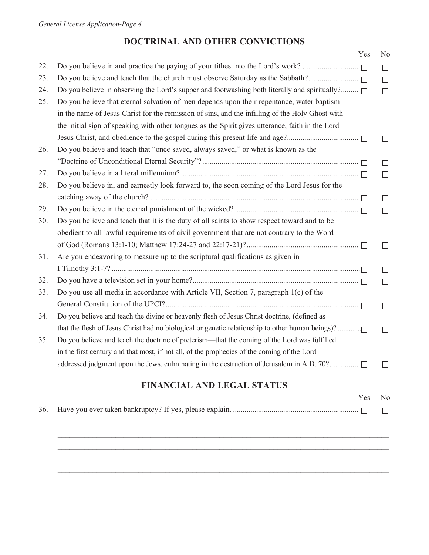## **DOCTRINAL AND OTHER CONVICTIONS**

|     |                                                                                                      | Yes | N <sub>0</sub> |
|-----|------------------------------------------------------------------------------------------------------|-----|----------------|
| 22. |                                                                                                      |     | $\Box$         |
| 23. | Do you believe and teach that the church must observe Saturday as the Sabbath?                       |     | $\Box$         |
| 24. | Do you believe in observing the Lord's supper and footwashing both literally and spiritually? $\Box$ |     | $\Box$         |
| 25. | Do you believe that eternal salvation of men depends upon their repentance, water baptism            |     |                |
|     | in the name of Jesus Christ for the remission of sins, and the infilling of the Holy Ghost with      |     |                |
|     | the initial sign of speaking with other tongues as the Spirit gives utterance, faith in the Lord     |     |                |
|     |                                                                                                      |     | $\Box$         |
| 26. | Do you believe and teach that "once saved, always saved," or what is known as the                    |     |                |
|     |                                                                                                      |     | П              |
| 27. |                                                                                                      |     | П              |
| 28. | Do you believe in, and earnestly look forward to, the soon coming of the Lord Jesus for the          |     |                |
|     |                                                                                                      |     | $\Box$         |
| 29. |                                                                                                      |     | $\Box$         |
| 30. | Do you believe and teach that it is the duty of all saints to show respect toward and to be          |     |                |
|     | obedient to all lawful requirements of civil government that are not contrary to the Word            |     |                |
|     |                                                                                                      |     | Ш              |
| 31. | Are you endeavoring to measure up to the scriptural qualifications as given in                       |     |                |
|     |                                                                                                      |     | П              |
| 32. |                                                                                                      |     | $\Box$         |
| 33. | Do you use all media in accordance with Article VII, Section 7, paragraph 1(c) of the                |     |                |
|     |                                                                                                      |     | $\Box$         |
| 34. | Do you believe and teach the divine or heavenly flesh of Jesus Christ doctrine, (defined as          |     |                |
|     | that the flesh of Jesus Christ had no biological or genetic relationship to other human beings)?     |     | П              |
| 35. | Do you believe and teach the doctrine of preterism—that the coming of the Lord was fulfilled         |     |                |
|     | in the first century and that most, if not all, of the prophecies of the coming of the Lord          |     |                |
|     | addressed judgment upon the Jews, culminating in the destruction of Jerusalem in A.D. 70?            |     | H              |
|     |                                                                                                      |     |                |

# **FINANCIAL AND LEGAL STATUS**

|  | Yes | N <sub>0</sub> |
|--|-----|----------------|
|  |     |                |
|  |     |                |
|  |     |                |
|  |     |                |
|  |     |                |
|  |     |                |
|  |     |                |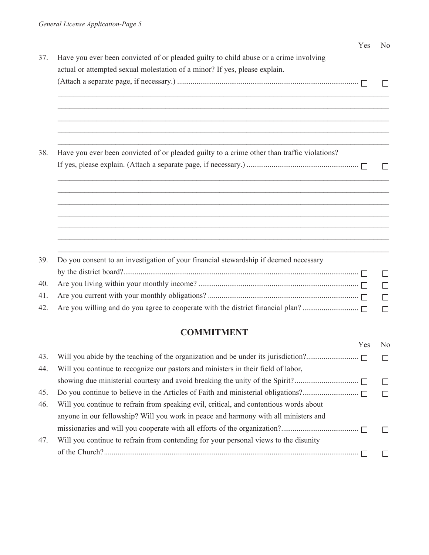|     | Yes                                                                                                              | N <sub>0</sub> |  |  |  |  |
|-----|------------------------------------------------------------------------------------------------------------------|----------------|--|--|--|--|
| 37. | Have you ever been convicted of or pleaded guilty to child abuse or a crime involving                            |                |  |  |  |  |
|     | actual or attempted sexual molestation of a minor? If yes, please explain.                                       |                |  |  |  |  |
|     |                                                                                                                  |                |  |  |  |  |
|     |                                                                                                                  |                |  |  |  |  |
|     |                                                                                                                  |                |  |  |  |  |
|     |                                                                                                                  |                |  |  |  |  |
| 38. | Have you ever been convicted of or pleaded guilty to a crime other than traffic violations?                      |                |  |  |  |  |
|     |                                                                                                                  |                |  |  |  |  |
|     |                                                                                                                  |                |  |  |  |  |
|     |                                                                                                                  |                |  |  |  |  |
|     | and the control of the control of the control of the control of the control of the control of the control of the |                |  |  |  |  |
|     |                                                                                                                  |                |  |  |  |  |
|     |                                                                                                                  |                |  |  |  |  |
| 39. | Do you consent to an investigation of your financial stewardship if deemed necessary                             |                |  |  |  |  |
|     |                                                                                                                  | П              |  |  |  |  |
| 40. |                                                                                                                  | П              |  |  |  |  |
| 41. |                                                                                                                  | $\Box$         |  |  |  |  |
| 42. |                                                                                                                  | $\Box$         |  |  |  |  |
|     |                                                                                                                  |                |  |  |  |  |

# **COMMITMENT**

|     |                                                                                        | Yes | No |
|-----|----------------------------------------------------------------------------------------|-----|----|
| 43. |                                                                                        |     |    |
| 44. | Will you continue to recognize our pastors and ministers in their field of labor,      |     |    |
|     |                                                                                        |     |    |
| 45. |                                                                                        |     |    |
| 46. | Will you continue to refrain from speaking evil, critical, and contentious words about |     |    |
|     | anyone in our fellowship? Will you work in peace and harmony with all ministers and    |     |    |
|     |                                                                                        |     |    |
| 47. | Will you continue to refrain from contending for your personal views to the disunity   |     |    |
|     |                                                                                        |     |    |
|     |                                                                                        |     |    |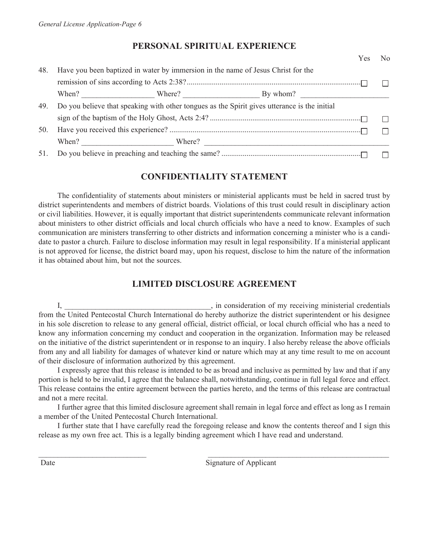### **PERSONAL SPIRITUAL EXPERIENCE**

|     |                                                                                              | Yes | $\overline{N}_{0}$ |
|-----|----------------------------------------------------------------------------------------------|-----|--------------------|
| 48. | Have you been baptized in water by immersion in the name of Jesus Christ for the             |     |                    |
|     |                                                                                              |     |                    |
|     |                                                                                              |     |                    |
| 49. | Do you believe that speaking with other tongues as the Spirit gives utterance is the initial |     |                    |
|     |                                                                                              |     |                    |
| 50. |                                                                                              |     |                    |
|     |                                                                                              |     |                    |
|     |                                                                                              |     |                    |

### **CONFIDENTIALITY STATEMENT**

The confidentiality of statements about ministers or ministerial applicants must be held in sacred trust by district superintendents and members of district boards. Violations of this trust could result in disciplinary action or civil liabilities. However, it is equally important that district superintendents communicate relevant information about ministers to other district officials and local church officials who have a need to know. Examples of such communication are ministers transferring to other districts and information concerning a minister who is a candidate to pastor a church. Failure to disclose information may result in legal responsibility. If a ministerial applicant is not approved for license, the district board may, upon his request, disclose to him the nature of the information it has obtained about him, but not the sources.

## **LIMITED DISCLOSURE AGREEMENT**

I, \_\_\_\_\_\_\_\_\_\_\_\_\_\_\_\_\_\_\_\_\_\_\_\_\_\_\_\_\_\_\_\_\_\_\_\_\_\_, in consideration of my receiving ministerial credentials from the United Pentecostal Church International do hereby authorize the district superintendent or his designee in his sole discretion to release to any general official, district official, or local church official who has a need to know any information concerning my conduct and cooperation in the organization. Information may be released on the initiative of the district superintendent or in response to an inquiry. I also hereby release the above officials from any and all liability for damages of whatever kind or nature which may at any time result to me on account of their disclosure of information authorized by this agreement.

I expressly agree that this release is intended to be as broad and inclusive as permitted by law and that if any portion is held to be invalid, I agree that the balance shall, notwithstanding, continue in full legal force and effect. This release contains the entire agreement between the parties hereto, and the terms of this release are contractual and not a mere recital.

I further agree that this limited disclosure agreement shall remain in legal force and effect as long as I remain a member of the United Pentecostal Church International.

I further state that I have carefully read the foregoing release and know the contents thereof and I sign this release as my own free act. This is a legally binding agreement which I have read and understand.

\_\_\_\_\_\_\_\_\_\_\_\_\_\_\_\_\_\_\_\_\_\_\_\_\_\_\_\_ \_\_\_\_\_\_\_\_\_\_\_\_\_\_\_\_\_\_\_\_\_\_\_\_\_\_\_\_\_\_\_\_\_\_\_\_\_\_\_\_\_\_\_\_\_\_\_

Date Signature of Applicant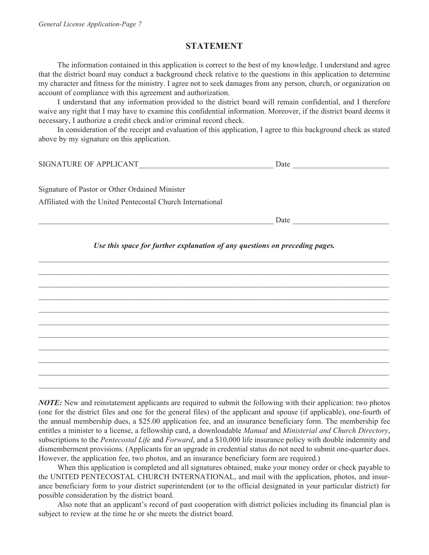#### **STATEMENT**

The information contained in this application is correct to the best of my knowledge. I understand and agree that the district board may conduct a background check relative to the questions in this application to determine my character and fitness for the ministry. I agree not to seek damages from any person, church, or organization on account of compliance with this agreement and authorization.

I understand that any information provided to the district board will remain confidential, and I therefore waive any right that I may have to examine this confidential information. Moreover, if the district board deems it necessary, I authorize a credit check and/or criminal record check.

In consideration of the receipt and evaluation of this application, I agree to this background check as stated above by my signature on this application.

| SIGNATURE OF APPLICANT | ⊃ate |  |
|------------------------|------|--|
|                        |      |  |

Signature of Pastor or Other Ordained Minister Affiliated with the United Pentecostal Church International

Date and  $\Box$ 

*Use this space for further explanation of any questions on preceding pages.* \_\_\_\_\_\_\_\_\_\_\_\_\_\_\_\_\_\_\_\_\_\_\_\_\_\_\_\_\_\_\_\_\_\_\_\_\_\_\_\_\_\_\_\_\_\_\_\_\_\_\_\_\_\_\_\_\_\_\_\_\_\_\_\_\_\_\_\_\_\_\_\_\_\_\_\_\_\_\_\_\_\_\_\_\_\_\_\_\_\_\_

\_\_\_\_\_\_\_\_\_\_\_\_\_\_\_\_\_\_\_\_\_\_\_\_\_\_\_\_\_\_\_\_\_\_\_\_\_\_\_\_\_\_\_\_\_\_\_\_\_\_\_\_\_\_\_\_\_\_\_\_\_\_\_\_\_\_\_\_\_\_\_\_\_\_\_\_\_\_\_\_\_\_\_\_\_\_\_\_\_\_\_ \_\_\_\_\_\_\_\_\_\_\_\_\_\_\_\_\_\_\_\_\_\_\_\_\_\_\_\_\_\_\_\_\_\_\_\_\_\_\_\_\_\_\_\_\_\_\_\_\_\_\_\_\_\_\_\_\_\_\_\_\_\_\_\_\_\_\_\_\_\_\_\_\_\_\_\_\_\_\_\_\_\_\_\_\_\_\_\_\_\_\_ \_\_\_\_\_\_\_\_\_\_\_\_\_\_\_\_\_\_\_\_\_\_\_\_\_\_\_\_\_\_\_\_\_\_\_\_\_\_\_\_\_\_\_\_\_\_\_\_\_\_\_\_\_\_\_\_\_\_\_\_\_\_\_\_\_\_\_\_\_\_\_\_\_\_\_\_\_\_\_\_\_\_\_\_\_\_\_\_\_\_\_ \_\_\_\_\_\_\_\_\_\_\_\_\_\_\_\_\_\_\_\_\_\_\_\_\_\_\_\_\_\_\_\_\_\_\_\_\_\_\_\_\_\_\_\_\_\_\_\_\_\_\_\_\_\_\_\_\_\_\_\_\_\_\_\_\_\_\_\_\_\_\_\_\_\_\_\_\_\_\_\_\_\_\_\_\_\_\_\_\_\_\_ \_\_\_\_\_\_\_\_\_\_\_\_\_\_\_\_\_\_\_\_\_\_\_\_\_\_\_\_\_\_\_\_\_\_\_\_\_\_\_\_\_\_\_\_\_\_\_\_\_\_\_\_\_\_\_\_\_\_\_\_\_\_\_\_\_\_\_\_\_\_\_\_\_\_\_\_\_\_\_\_\_\_\_\_\_\_\_\_\_\_\_ \_\_\_\_\_\_\_\_\_\_\_\_\_\_\_\_\_\_\_\_\_\_\_\_\_\_\_\_\_\_\_\_\_\_\_\_\_\_\_\_\_\_\_\_\_\_\_\_\_\_\_\_\_\_\_\_\_\_\_\_\_\_\_\_\_\_\_\_\_\_\_\_\_\_\_\_\_\_\_\_\_\_\_\_\_\_\_\_\_\_\_ \_\_\_\_\_\_\_\_\_\_\_\_\_\_\_\_\_\_\_\_\_\_\_\_\_\_\_\_\_\_\_\_\_\_\_\_\_\_\_\_\_\_\_\_\_\_\_\_\_\_\_\_\_\_\_\_\_\_\_\_\_\_\_\_\_\_\_\_\_\_\_\_\_\_\_\_\_\_\_\_\_\_\_\_\_\_\_\_\_\_\_ \_\_\_\_\_\_\_\_\_\_\_\_\_\_\_\_\_\_\_\_\_\_\_\_\_\_\_\_\_\_\_\_\_\_\_\_\_\_\_\_\_\_\_\_\_\_\_\_\_\_\_\_\_\_\_\_\_\_\_\_\_\_\_\_\_\_\_\_\_\_\_\_\_\_\_\_\_\_\_\_\_\_\_\_\_\_\_\_\_\_\_ \_\_\_\_\_\_\_\_\_\_\_\_\_\_\_\_\_\_\_\_\_\_\_\_\_\_\_\_\_\_\_\_\_\_\_\_\_\_\_\_\_\_\_\_\_\_\_\_\_\_\_\_\_\_\_\_\_\_\_\_\_\_\_\_\_\_\_\_\_\_\_\_\_\_\_\_\_\_\_\_\_\_\_\_\_\_\_\_\_\_\_ \_\_\_\_\_\_\_\_\_\_\_\_\_\_\_\_\_\_\_\_\_\_\_\_\_\_\_\_\_\_\_\_\_\_\_\_\_\_\_\_\_\_\_\_\_\_\_\_\_\_\_\_\_\_\_\_\_\_\_\_\_\_\_\_\_\_\_\_\_\_\_\_\_\_\_\_\_\_\_\_\_\_\_\_\_\_\_\_\_\_\_

*NOTE:* New and reinstatement applicants are required to submit the following with their application: two photos (one for the district files and one for the general files) of the applicant and spouse (if applicable), one-fourth of the annual membership dues, a \$25.00 application fee, and an insurance beneficiary form. The membership fee entitles a minister to a license, a fellowship card, a downloadable *Manual* and *Ministerial and Church Directory*, subscriptions to the *Pentecostal Life* and *Forward*, and a \$10,000 life insurance policy with double indemnity and dismemberment provisions. (Applicants for an upgrade in credential status do not need to submit one-quarter dues. However, the application fee, two photos, and an insurance beneficiary form are required.)

When this application is completed and all signatures obtained, make your money order or check payable to the UNITED PENTECOSTAL CHURCH INTERNATIONAL, and mail with the application, photos, and insurance beneficiary form to your district superintendent (or to the official designated in your particular district) for possible consideration by the district board.

Also note that an applicant's record of past cooperation with district policies including its financial plan is subject to review at the time he or she meets the district board.